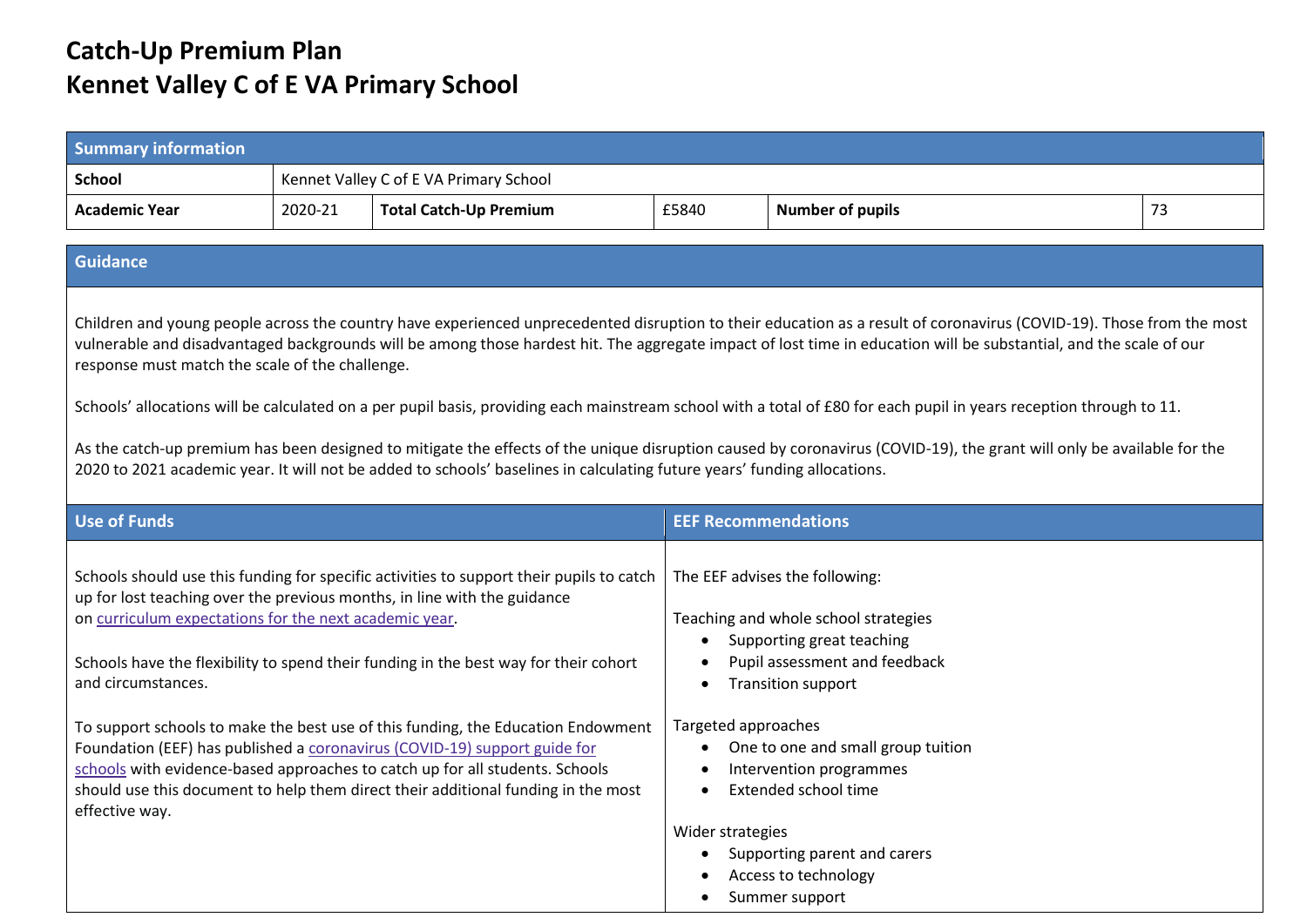## **Catch-Up Premium Plan Kennet Valley C of E VA Primary School**

| <b>Summary information</b>                                                                                                                                                                                                                                                                                                                                                                    |         |                                                                                                                                                                                                                                                                                                                                                                                                                                                                                                                                                                                                    |                            |                                                                                                                                                                                                                                                                   |    |
|-----------------------------------------------------------------------------------------------------------------------------------------------------------------------------------------------------------------------------------------------------------------------------------------------------------------------------------------------------------------------------------------------|---------|----------------------------------------------------------------------------------------------------------------------------------------------------------------------------------------------------------------------------------------------------------------------------------------------------------------------------------------------------------------------------------------------------------------------------------------------------------------------------------------------------------------------------------------------------------------------------------------------------|----------------------------|-------------------------------------------------------------------------------------------------------------------------------------------------------------------------------------------------------------------------------------------------------------------|----|
| <b>School</b>                                                                                                                                                                                                                                                                                                                                                                                 |         | Kennet Valley C of E VA Primary School                                                                                                                                                                                                                                                                                                                                                                                                                                                                                                                                                             |                            |                                                                                                                                                                                                                                                                   |    |
| <b>Academic Year</b>                                                                                                                                                                                                                                                                                                                                                                          | 2020-21 | <b>Total Catch-Up Premium</b>                                                                                                                                                                                                                                                                                                                                                                                                                                                                                                                                                                      | £5840                      | <b>Number of pupils</b>                                                                                                                                                                                                                                           | 73 |
| <b>Guidance</b>                                                                                                                                                                                                                                                                                                                                                                               |         |                                                                                                                                                                                                                                                                                                                                                                                                                                                                                                                                                                                                    |                            |                                                                                                                                                                                                                                                                   |    |
| Children and young people across the country have experienced unprecedented disruption to their education as a result of coronavirus (COVID-19). Those from the most<br>vulnerable and disadvantaged backgrounds will be among those hardest hit. The aggregate impact of lost time in education will be substantial, and the scale of our<br>response must match the scale of the challenge. |         |                                                                                                                                                                                                                                                                                                                                                                                                                                                                                                                                                                                                    |                            |                                                                                                                                                                                                                                                                   |    |
|                                                                                                                                                                                                                                                                                                                                                                                               |         |                                                                                                                                                                                                                                                                                                                                                                                                                                                                                                                                                                                                    |                            | Schools' allocations will be calculated on a per pupil basis, providing each mainstream school with a total of £80 for each pupil in years reception through to 11.                                                                                               |    |
| As the catch-up premium has been designed to mitigate the effects of the unique disruption caused by coronavirus (COVID-19), the grant will only be available for the<br>2020 to 2021 academic year. It will not be added to schools' baselines in calculating future years' funding allocations.                                                                                             |         |                                                                                                                                                                                                                                                                                                                                                                                                                                                                                                                                                                                                    |                            |                                                                                                                                                                                                                                                                   |    |
| <b>Use of Funds</b>                                                                                                                                                                                                                                                                                                                                                                           |         |                                                                                                                                                                                                                                                                                                                                                                                                                                                                                                                                                                                                    | <b>EEF Recommendations</b> |                                                                                                                                                                                                                                                                   |    |
| on curriculum expectations for the next academic year.<br>and circumstances.<br>effective way.                                                                                                                                                                                                                                                                                                |         | Schools should use this funding for specific activities to support their pupils to catch<br>up for lost teaching over the previous months, in line with the guidance<br>Schools have the flexibility to spend their funding in the best way for their cohort<br>To support schools to make the best use of this funding, the Education Endowment<br>Foundation (EEF) has published a coronavirus (COVID-19) support guide for<br>schools with evidence-based approaches to catch up for all students. Schools<br>should use this document to help them direct their additional funding in the most | Targeted approaches        | The EEF advises the following:<br>Teaching and whole school strategies<br>Supporting great teaching<br>Pupil assessment and feedback<br><b>Transition support</b><br>One to one and small group tuition<br>Intervention programmes<br><b>Extended school time</b> |    |
|                                                                                                                                                                                                                                                                                                                                                                                               |         |                                                                                                                                                                                                                                                                                                                                                                                                                                                                                                                                                                                                    | Wider strategies           | Supporting parent and carers<br>Access to technology<br>Summer support                                                                                                                                                                                            |    |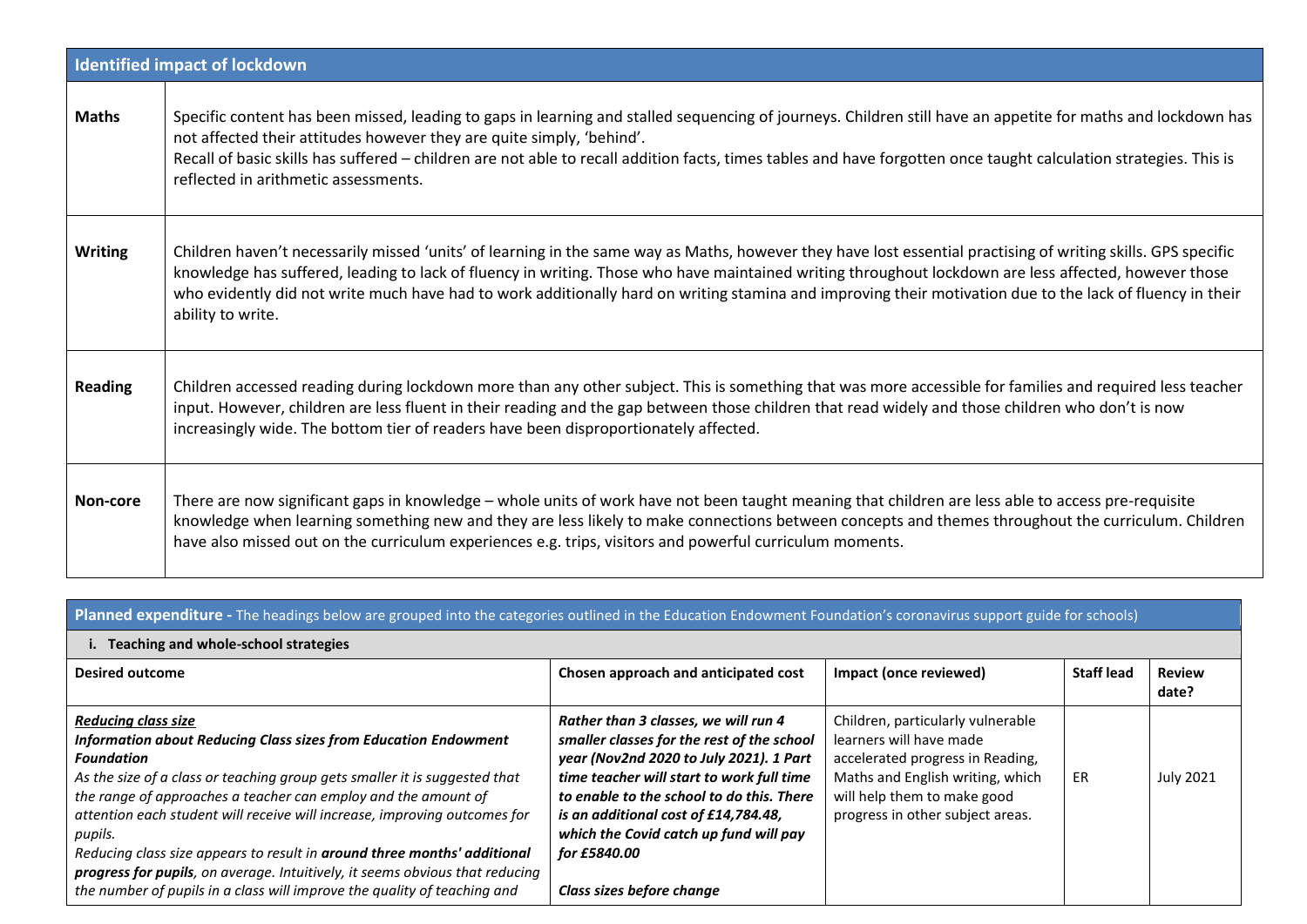|                | <b>Identified impact of lockdown</b>                                                                                                                                                                                                                                                                                                                                                                                                                                                                     |
|----------------|----------------------------------------------------------------------------------------------------------------------------------------------------------------------------------------------------------------------------------------------------------------------------------------------------------------------------------------------------------------------------------------------------------------------------------------------------------------------------------------------------------|
| <b>Maths</b>   | Specific content has been missed, leading to gaps in learning and stalled sequencing of journeys. Children still have an appetite for maths and lockdown has<br>not affected their attitudes however they are quite simply, 'behind'.<br>Recall of basic skills has suffered - children are not able to recall addition facts, times tables and have forgotten once taught calculation strategies. This is<br>reflected in arithmetic assessments.                                                       |
| <b>Writing</b> | Children haven't necessarily missed 'units' of learning in the same way as Maths, however they have lost essential practising of writing skills. GPS specific<br>knowledge has suffered, leading to lack of fluency in writing. Those who have maintained writing throughout lockdown are less affected, however those<br>who evidently did not write much have had to work additionally hard on writing stamina and improving their motivation due to the lack of fluency in their<br>ability to write. |
| <b>Reading</b> | Children accessed reading during lockdown more than any other subject. This is something that was more accessible for families and required less teacher<br>input. However, children are less fluent in their reading and the gap between those children that read widely and those children who don't is now<br>increasingly wide. The bottom tier of readers have been disproportionately affected.                                                                                                    |
| Non-core       | There are now significant gaps in knowledge - whole units of work have not been taught meaning that children are less able to access pre-requisite<br>knowledge when learning something new and they are less likely to make connections between concepts and themes throughout the curriculum. Children<br>have also missed out on the curriculum experiences e.g. trips, visitors and powerful curriculum moments.                                                                                     |

## **Planned expenditure -** The headings below are grouped into the categories outlined in the Education Endowment Foundation's coronavirus support guide for schools)

|  | i. Teaching and whole-school strategies |  |
|--|-----------------------------------------|--|
|--|-----------------------------------------|--|

| <b>Desired outcome</b>                                                                                                                                                                                                                                                                                                                                                                                                                                                                                                                                                                             | Chosen approach and anticipated cost                                                                                                                                                                                                                                                                                                                   | Impact (once reviewed)                                                                                                                                                                                  | <b>Staff lead</b> | <b>Review</b><br>date? |
|----------------------------------------------------------------------------------------------------------------------------------------------------------------------------------------------------------------------------------------------------------------------------------------------------------------------------------------------------------------------------------------------------------------------------------------------------------------------------------------------------------------------------------------------------------------------------------------------------|--------------------------------------------------------------------------------------------------------------------------------------------------------------------------------------------------------------------------------------------------------------------------------------------------------------------------------------------------------|---------------------------------------------------------------------------------------------------------------------------------------------------------------------------------------------------------|-------------------|------------------------|
| <b>Reducing class size</b><br>Information about Reducing Class sizes from Education Endowment<br><b>Foundation</b><br>As the size of a class or teaching group gets smaller it is suggested that<br>the range of approaches a teacher can employ and the amount of<br>attention each student will receive will increase, improving outcomes for<br>pupils.<br>Reducing class size appears to result in around three months' additional<br>progress for pupils, on average. Intuitively, it seems obvious that reducing<br>the number of pupils in a class will improve the quality of teaching and | Rather than 3 classes, we will run 4<br>smaller classes for the rest of the school<br>year (Nov2nd 2020 to July 2021). 1 Part<br>time teacher will start to work full time<br>to enable to the school to do this. There<br>is an additional cost of £14,784.48,<br>which the Covid catch up fund will pay<br>for £5840.00<br>Class sizes before change | Children, particularly vulnerable<br>learners will have made<br>accelerated progress in Reading,<br>Maths and English writing, which<br>will help them to make good<br>progress in other subject areas. | ER                | <b>July 2021</b>       |